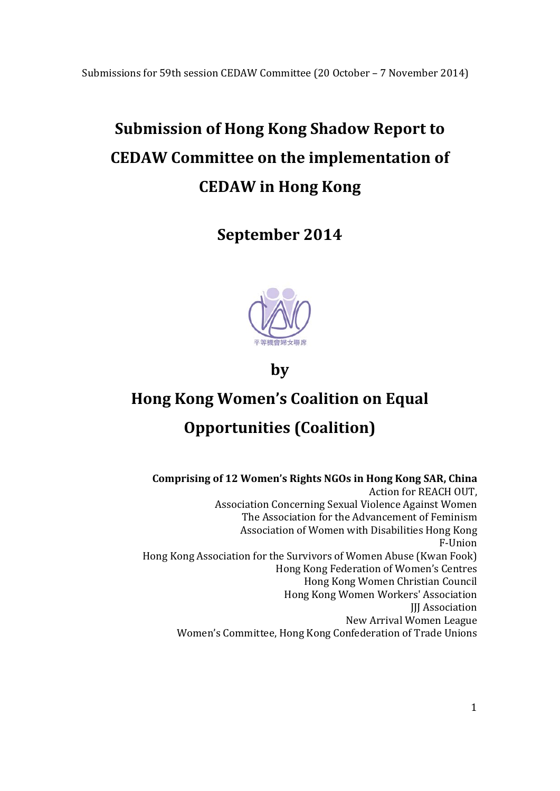# **Submission of Hong Kong Shadow Report to CEDAW Committee on the implementation of CEDAW in Hong Kong**

**September 2014**



**by**

# **Hong Kong Women's Coalition on Equal Opportunities (Coalition)**

**Comprising of 12 Women's Rights NGOs in Hong Kong SAR, China** Action for REACH OUT, Association Concerning Sexual Violence Against Women The Association for the Advancement of Feminism Association of Women with Disabilities Hong Kong F‐Union Hong Kong Association for the Survivors of Women Abuse (Kwan Fook) Hong Kong Federation of Women's Centres Hong Kong Women Christian Council Hong Kong Women Workers' Association **JIJ** Association New Arrival Women League Women's Committee, Hong Kong Confederation of Trade Unions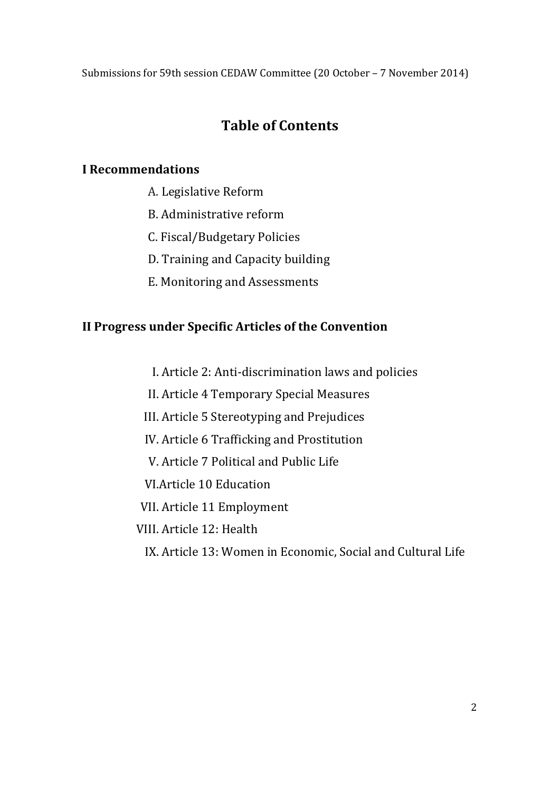# **Table of Contents**

# **I Recommendations**

- A. Legislative Reform
- B. Administrative reform
- C. Fiscal/Budgetary Policies
- D. Training and Capacity building
- E. Monitoring and Assessments

# **II Progress under Specific Articles of the Convention**

- I. Article 2: Anti-discrimination laws and policies
- II. Article 4 Temporary Special Measures
- III. Article 5 Stereotyping and Prejudices
- IV. Article 6 Trafficking and Prostitution
- V. Article 7 Political and Public Life
- VI. Article 10 Education
- VII. Article 11 Employment
- VIII. Article 12: Health
	- IX. Article 13: Women in Economic, Social and Cultural Life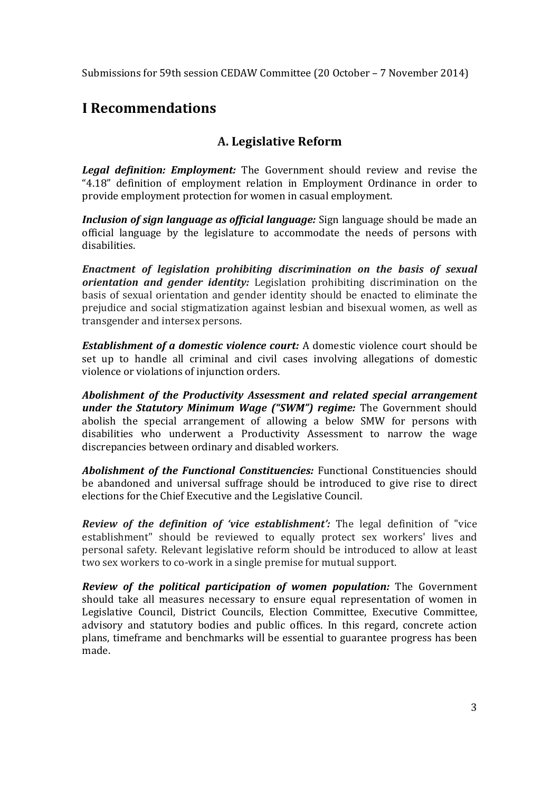# **I Recommendations**

# **A. Legislative Reform**

*Legal definition: Employment:* The Government should review and revise the "4.18" definition of employment relation in Employment Ordinance in order to provide employment protection for women in casual employment.

*Inclusion of sign language as official <i>language:* Sign language should be made an official language by the legislature to accommodate the needs of persons with disabilities. 

*Enactment of legislation prohibiting discrimination on the basis of sexual orientation and gender identity:* Legislation prohibiting discrimination on the basis of sexual orientation and gender identity should be enacted to eliminate the prejudice and social stigmatization against lesbian and bisexual women, as well as transgender and intersex persons.

*Establishment of a domestic violence court:* A domestic violence court should be set up to handle all criminal and civil cases involving allegations of domestic violence or violations of injunction orders.

*Abolishment of the Productivity Assessment and related special arrangement under the Statutory Minimum Wage ("SWM") regime:* The Government should abolish the special arrangement of allowing a below SMW for persons with disabilities who underwent a Productivity Assessment to narrow the wage discrepancies between ordinary and disabled workers.

*Abolishment of the Functional Constituencies:* Functional Constituencies should be abandoned and universal suffrage should be introduced to give rise to direct elections for the Chief Executive and the Legislative Council.

*Review of the definition of 'vice establishment':* **The legal definition of "vice"** establishment" should be reviewed to equally protect sex workers' lives and personal safety. Relevant legislative reform should be introduced to allow at least two sex workers to co-work in a single premise for mutual support.

*Review of the political participation of women population:* **The Government** should take all measures necessary to ensure equal representation of women in Legislative Council, District Councils, Election Committee, Executive Committee, advisory and statutory bodies and public offices. In this regard, concrete action plans, timeframe and benchmarks will be essential to guarantee progress has been made.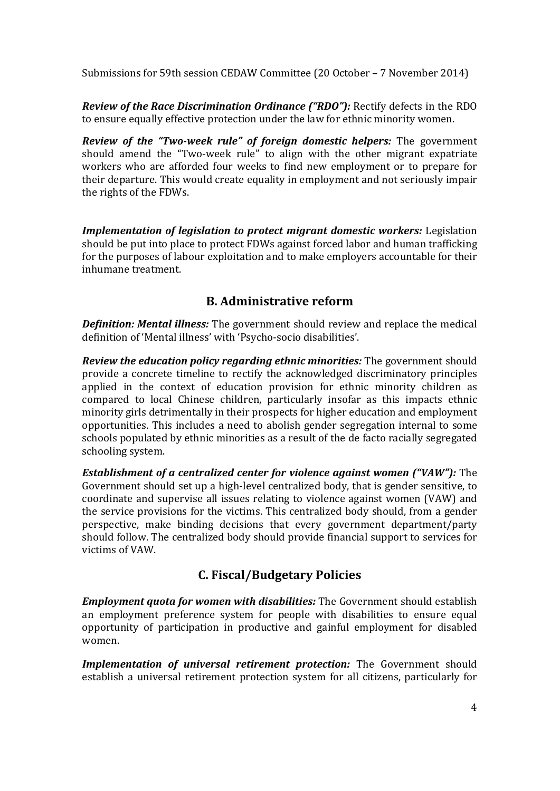*Review of the Race Discrimination Ordinance ("RDO"):* Rectify defects in the RDO to ensure equally effective protection under the law for ethnic minority women.

*Review of the "Two‐week rule" of foreign domestic helpers:* The government should amend the "Two-week rule" to align with the other migrant expatriate workers who are afforded four weeks to find new employment or to prepare for their departure. This would create equality in employment and not seriously impair the rights of the FDWs.

*Implementation of legislation to protect migrant domestic workers:* Legislation should be put into place to protect FDWs against forced labor and human trafficking for the purposes of labour exploitation and to make employers accountable for their inhumane treatment.

# **B. Administrative reform**

*Definition: Mental illness:* The government should review and replace the medical definition of 'Mental illness' with 'Psycho-socio disabilities'.

*Review the education policy regarding ethnic minorities:* The government should provide a concrete timeline to rectify the acknowledged discriminatory principles applied in the context of education provision for ethnic minority children as compared to local Chinese children, particularly insofar as this impacts ethnic minority girls detrimentally in their prospects for higher education and employment opportunities. This includes a need to abolish gender segregation internal to some schools populated by ethnic minorities as a result of the de facto racially segregated schooling system.

*Establishment of a centralized center for violence against women ("VAW"):* The Government should set up a high-level centralized body, that is gender sensitive, to coordinate and supervise all issues relating to violence against women (VAW) and the service provisions for the victims. This centralized body should, from a gender perspective, make binding decisions that every government department/party should follow. The centralized body should provide financial support to services for victims of VAW. 

# **C. Fiscal/Budgetary Policies**

*Employment quota for women with disabilities:* The Government should establish an employment preference system for people with disabilities to ensure equal opportunity of participation in productive and gainful employment for disabled women. 

**Implementation of universal retirement protection:** The Government should establish a universal retirement protection system for all citizens, particularly for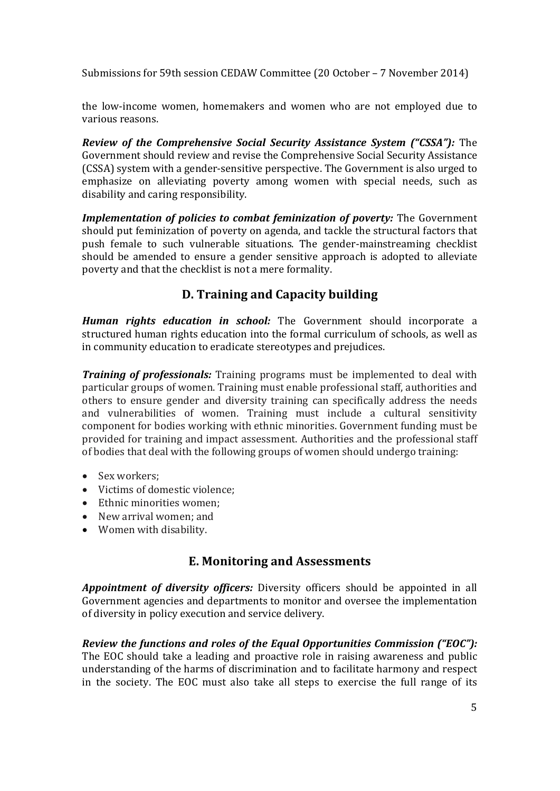the low-income women, homemakers and women who are not employed due to various reasons.

*Review of the Comprehensive Social Security Assistance System ("CSSA"):* The Government should review and revise the Comprehensive Social Security Assistance (CSSA) system with a gender-sensitive perspective. The Government is also urged to emphasize on alleviating poverty among women with special needs, such as disability and caring responsibility.

**Implementation of policies to combat feminization of poverty:** The Government should put feminization of poverty on agenda, and tackle the structural factors that push female to such vulnerable situations. The gender-mainstreaming checklist should be amended to ensure a gender sensitive approach is adopted to alleviate poverty and that the checklist is not a mere formality.

# **D. Training and Capacity building**

*Human rights education in school:* The Government should incorporate a structured human rights education into the formal curriculum of schools, as well as in community education to eradicate stereotypes and prejudices.

*Training of professionals:* Training programs must be implemented to deal with particular groups of women. Training must enable professional staff, authorities and others to ensure gender and diversity training can specifically address the needs and vulnerabilities of women. Training must include a cultural sensitivity component for bodies working with ethnic minorities. Government funding must be provided for training and impact assessment. Authorities and the professional staff of bodies that deal with the following groups of women should undergo training:

- Sex workers;
- Victims of domestic violence:
- Ethnic minorities women:
- New arrival women; and
- Women with disability.

# **E. Monitoring and Assessments**

**Appointment** of *diversity officers:* Diversity officers should be appointed in all Government agencies and departments to monitor and oversee the implementation of diversity in policy execution and service delivery.

*Review the functions and roles of the Equal Opportunities Commission ("EOC"):* The EOC should take a leading and proactive role in raising awareness and public understanding of the harms of discrimination and to facilitate harmony and respect in the society. The EOC must also take all steps to exercise the full range of its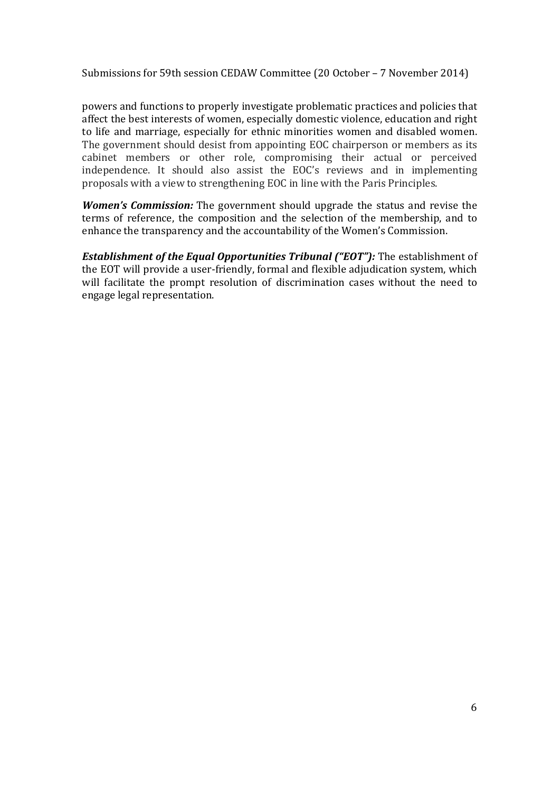powers and functions to properly investigate problematic practices and policies that affect the best interests of women, especially domestic violence, education and right to life and marriage, especially for ethnic minorities women and disabled women. The government should desist from appointing EOC chairperson or members as its cabinet members or other role, compromising their actual or perceived independence. It should also assist the EOC's reviews and in implementing proposals with a view to strengthening EOC in line with the Paris Principles.

*Women's Commission:* The government should upgrade the status and revise the terms of reference, the composition and the selection of the membership, and to enhance the transparency and the accountability of the Women's Commission.

**Establishment of the Equal Opportunities Tribunal ("EOT"):** The establishment of the EOT will provide a user-friendly, formal and flexible adjudication system, which will facilitate the prompt resolution of discrimination cases without the need to engage legal representation.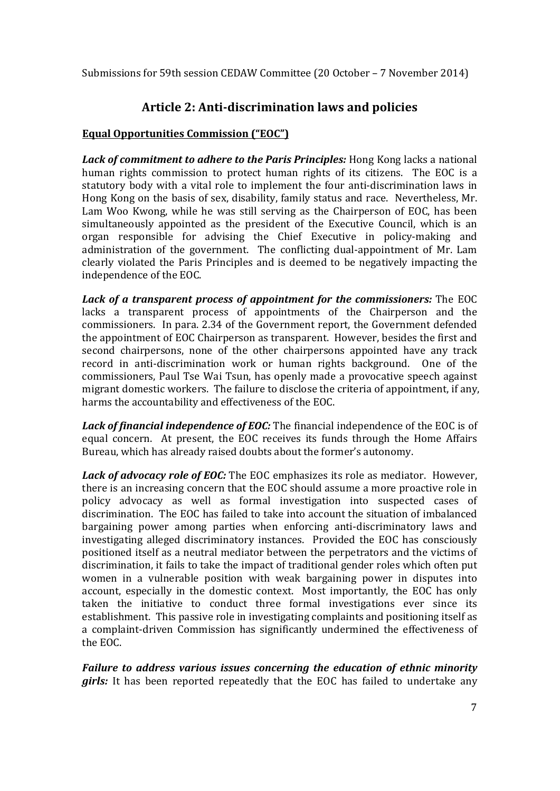# **Article 2: Anti‐discrimination laws and policies**

#### **Equal Opportunities Commission ("EOC")**

*Lack of commitment to adhere to the Paris Principles:* Hong Kong lacks a national human rights commission to protect human rights of its citizens. The EOC is a statutory body with a vital role to implement the four anti-discrimination laws in Hong Kong on the basis of sex, disability, family status and race. Nevertheless, Mr. Lam Woo Kwong, while he was still serving as the Chairperson of EOC, has been simultaneously appointed as the president of the Executive Council, which is an organ responsible for advising the Chief Executive in policy-making and administration of the government. The conflicting dual-appointment of Mr. Lam clearly violated the Paris Principles and is deemed to be negatively impacting the independence of the EOC.

*Lack of a transparent process of appointment for the commissioners:* **The EOC** lacks a transparent process of appointments of the Chairperson and the commissioners. In para, 2.34 of the Government report, the Government defended the appointment of EOC Chairperson as transparent. However, besides the first and second chairpersons, none of the other chairpersons appointed have any track record in anti-discrimination work or human rights background. One of the commissioners, Paul Tse Wai Tsun, has openly made a provocative speech against migrant domestic workers. The failure to disclose the criteria of appointment, if any, harms the accountability and effectiveness of the EOC.

**Lack of financial independence of EOC:** The financial independence of the EOC is of equal concern. At present, the EOC receives its funds through the Home Affairs Bureau, which has already raised doubts about the former's autonomy.

**Lack of advocacy role of EOC:** The EOC emphasizes its role as mediator. However, there is an increasing concern that the EOC should assume a more proactive role in policy advocacy as well as formal investigation into suspected cases of discrimination. The EOC has failed to take into account the situation of imbalanced bargaining power among parties when enforcing anti-discriminatory laws and investigating alleged discriminatory instances. Provided the EOC has consciously positioned itself as a neutral mediator between the perpetrators and the victims of discrimination, it fails to take the impact of traditional gender roles which often put women in a vulnerable position with weak bargaining power in disputes into account, especially in the domestic context. Most importantly, the EOC has only taken the initiative to conduct three formal investigations ever since its establishment. This passive role in investigating complaints and positioning itself as a complaint-driven Commission has significantly undermined the effectiveness of the EOC.

*Failure to address various issues concerning the education of ethnic minority girls:* It has been reported repeatedly that the EOC has failed to undertake any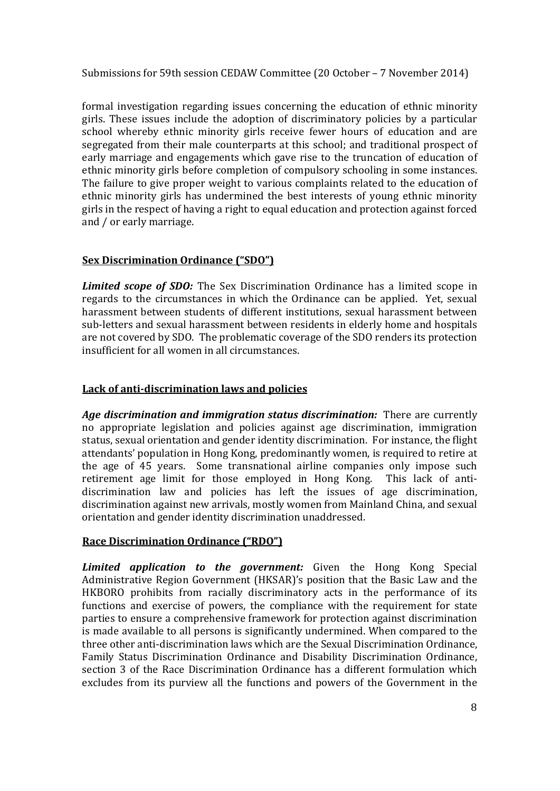formal investigation regarding issues concerning the education of ethnic minority girls. These issues include the adoption of discriminatory policies by a particular school whereby ethnic minority girls receive fewer hours of education and are segregated from their male counterparts at this school; and traditional prospect of early marriage and engagements which gave rise to the truncation of education of ethnic minority girls before completion of compulsory schooling in some instances. The failure to give proper weight to various complaints related to the education of ethnic minority girls has undermined the best interests of young ethnic minority girls in the respect of having a right to equal education and protection against forced and / or early marriage.

## **Sex Discrimination Ordinance ("SDO")**

*Limited scope of SDO:* The Sex Discrimination Ordinance has a limited scope in regards to the circumstances in which the Ordinance can be applied. Yet, sexual harassment between students of different institutions, sexual harassment between sub-letters and sexual harassment between residents in elderly home and hospitals are not covered by SDO. The problematic coverage of the SDO renders its protection insufficient for all women in all circumstances.

## **Lack of anti‐discrimination laws and policies**

*Age discrimination and immigration status discrimination:* There are currently no appropriate legislation and policies against age discrimination, immigration status, sexual orientation and gender identity discrimination. For instance, the flight attendants' population in Hong Kong, predominantly women, is required to retire at the age of 45 years. Some transnational airline companies only impose such retirement age limit for those employed in Hong Kong. This lack of antidiscrimination law and policies has left the issues of age discrimination, discrimination against new arrivals, mostly women from Mainland China, and sexual orientation and gender identity discrimination unaddressed.

## **Race Discrimination Ordinance ("RDO")**

*Limited application to the government:* Given the Hong Kong Special Administrative Region Government (HKSAR)'s position that the Basic Law and the HKBORO prohibits from racially discriminatory acts in the performance of its functions and exercise of powers, the compliance with the requirement for state parties to ensure a comprehensive framework for protection against discrimination is made available to all persons is significantly undermined. When compared to the three other anti-discrimination laws which are the Sexual Discrimination Ordinance, Family Status Discrimination Ordinance and Disability Discrimination Ordinance, section 3 of the Race Discrimination Ordinance has a different formulation which excludes from its purview all the functions and powers of the Government in the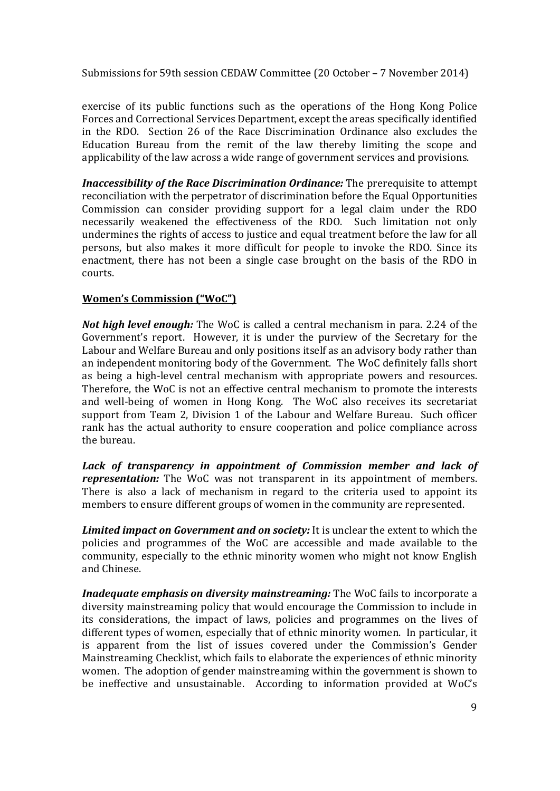exercise of its public functions such as the operations of the Hong Kong Police Forces and Correctional Services Department, except the areas specifically identified in the RDO. Section 26 of the Race Discrimination Ordinance also excludes the Education Bureau from the remit of the law thereby limiting the scope and applicability of the law across a wide range of government services and provisions.

*Inaccessibility of the Race Discrimination Ordinance:* **The prerequisite to attempt** reconciliation with the perpetrator of discrimination before the Equal Opportunities Commission can consider providing support for a legal claim under the RDO necessarily weakened the effectiveness of the RDO. Such limitation not only undermines the rights of access to justice and equal treatment before the law for all persons, but also makes it more difficult for people to invoke the RDO. Since its enactment, there has not been a single case brought on the basis of the RDO in courts. 

#### **Women's Commission ("WoC")**

*Not high level enough:* The WoC is called a central mechanism in para. 2.24 of the Government's report. However, it is under the purview of the Secretary for the Labour and Welfare Bureau and only positions itself as an advisory body rather than an independent monitoring body of the Government. The WoC definitely falls short as being a high-level central mechanism with appropriate powers and resources. Therefore, the WoC is not an effective central mechanism to promote the interests and well-being of women in Hong Kong. The WoC also receives its secretariat support from Team 2, Division 1 of the Labour and Welfare Bureau. Such officer rank has the actual authority to ensure cooperation and police compliance across the bureau.

*Lack of transparency in appointment of Commission member and lack of representation:* The WoC was not transparent in its appointment of members. There is also a lack of mechanism in regard to the criteria used to appoint its members to ensure different groups of women in the community are represented.

*Limited impact on Government and on society:* It is unclear the extent to which the policies and programmes of the WoC are accessible and made available to the community, especially to the ethnic minority women who might not know English and Chinese.

*Inadequate emphasis on diversity mainstreaming:* The WoC fails to incorporate a diversity mainstreaming policy that would encourage the Commission to include in its considerations, the impact of laws, policies and programmes on the lives of different types of women, especially that of ethnic minority women. In particular, it is apparent from the list of issues covered under the Commission's Gender Mainstreaming Checklist, which fails to elaborate the experiences of ethnic minority women. The adoption of gender mainstreaming within the government is shown to be ineffective and unsustainable. According to information provided at WoC's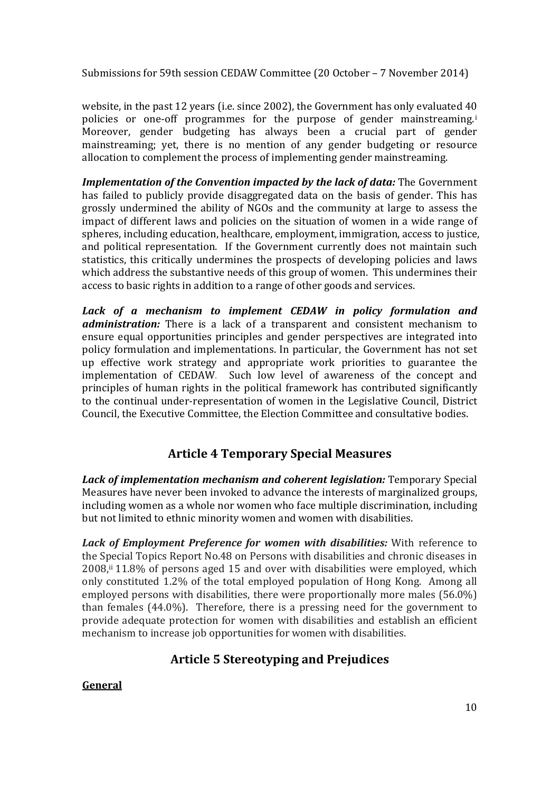website, in the past 12 years (i.e. since 2002), the Government has only evaluated  $40$ policies or one-off programmes for the purpose of gender mainstreaming.<sup>i</sup> Moreover, gender budgeting has always been a crucial part of gender mainstreaming; vet, there is no mention of any gender budgeting or resource allocation to complement the process of implementing gender mainstreaming.

*Implementation of the Convention impacted by the lack of data:* **The Government** has failed to publicly provide disaggregated data on the basis of gender. This has grossly undermined the ability of NGOs and the community at large to assess the impact of different laws and policies on the situation of women in a wide range of spheres, including education, healthcare, employment, immigration, access to justice, and political representation. If the Government currently does not maintain such statistics, this critically undermines the prospects of developing policies and laws which address the substantive needs of this group of women. This undermines their access to basic rights in addition to a range of other goods and services.

*Lack of a mechanism to implement CEDAW in policy formulation and administration:* There is a lack of a transparent and consistent mechanism to ensure equal opportunities principles and gender perspectives are integrated into policy formulation and implementations. In particular, the Government has not set up effective work strategy and appropriate work priorities to guarantee the implementation of CEDAW. Such low level of awareness of the concept and principles of human rights in the political framework has contributed significantly to the continual under-representation of women in the Legislative Council, District Council, the Executive Committee, the Election Committee and consultative bodies.

# **Article 4 Temporary Special Measures**

*Lack of implementation mechanism and coherent legislation:* Temporary Special Measures have never been invoked to advance the interests of marginalized groups, including women as a whole nor women who face multiple discrimination, including but not limited to ethnic minority women and women with disabilities.

*Lack of Employment Preference for women with disabilities:* With reference to the Special Topics Report No.48 on Persons with disabilities and chronic diseases in  $2008$ ,<sup>ii</sup> 11.8% of persons aged 15 and over with disabilities were employed, which only constituted 1.2% of the total employed population of Hong Kong. Among all employed persons with disabilities, there were proportionally more males  $(56.0\%)$ than females  $(44.0\%)$ . Therefore, there is a pressing need for the government to provide adequate protection for women with disabilities and establish an efficient mechanism to increase job opportunities for women with disabilities.

# **Article 5 Stereotyping and Prejudices**

## **General**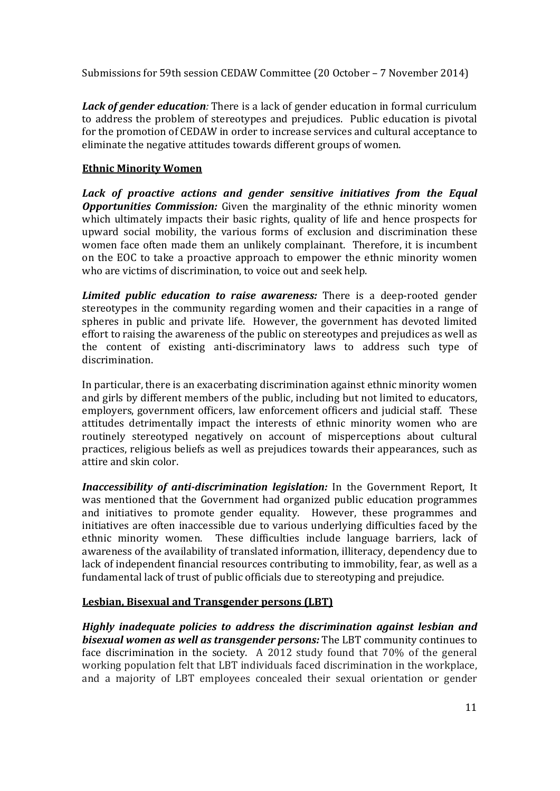*Lack of gender education:* There is a lack of gender education in formal curriculum to address the problem of stereotypes and prejudices. Public education is pivotal for the promotion of CEDAW in order to increase services and cultural acceptance to eliminate the negative attitudes towards different groups of women.

#### **Ethnic Minority Women**

*Lack of proactive actions and gender sensitive initiatives from the Equal Opportunities Commission:* Given the marginality of the ethnic minority women which ultimately impacts their basic rights, quality of life and hence prospects for upward social mobility, the various forms of exclusion and discrimination these women face often made them an unlikely complainant. Therefore, it is incumbent on the EOC to take a proactive approach to empower the ethnic minority women who are victims of discrimination, to voice out and seek help.

*Limited public education to raise awareness:* There is a deep-rooted gender stereotypes in the community regarding women and their capacities in a range of spheres in public and private life. However, the government has devoted limited effort to raising the awareness of the public on stereotypes and prejudices as well as the content of existing anti-discriminatory laws to address such type of discrimination.

In particular, there is an exacerbating discrimination against ethnic minority women and girls by different members of the public, including but not limited to educators, employers, government officers, law enforcement officers and judicial staff. These attitudes detrimentally impact the interests of ethnic minority women who are routinely stereotyped negatively on account of misperceptions about cultural practices, religious beliefs as well as prejudices towards their appearances, such as attire and skin color.

*Inaccessibility of anti-discrimination legislation: In the Government Report, It* was mentioned that the Government had organized public education programmes and initiatives to promote gender equality. However, these programmes and initiatives are often inaccessible due to various underlying difficulties faced by the ethnic minority women. These difficulties include language barriers, lack of awareness of the availability of translated information, illiteracy, dependency due to lack of independent financial resources contributing to immobility, fear, as well as a fundamental lack of trust of public officials due to stereotyping and prejudice.

#### **Lesbian, Bisexual and Transgender persons (LBT)**

*Highly inadequate policies to address the discrimination against lesbian and bisexual women as well as transgender persons:* The LBT community continues to face discrimination in the society. A 2012 study found that  $70\%$  of the general working population felt that LBT individuals faced discrimination in the workplace, and a majority of LBT employees concealed their sexual orientation or gender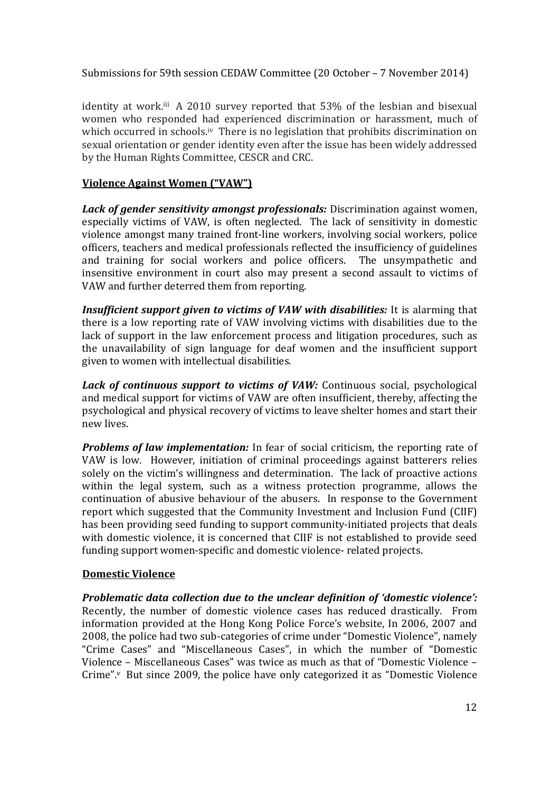identity at work.<sup>iii</sup> A 2010 survey reported that 53% of the lesbian and bisexual women who responded had experienced discrimination or harassment, much of which occurred in schools.<sup>iv</sup> There is no legislation that prohibits discrimination on sexual orientation or gender identity even after the issue has been widely addressed by the Human Rights Committee, CESCR and CRC.

#### **Violence Against Women ("VAW")**

*Lack of gender sensitivity amongst professionals: Discrimination against women,* especially victims of VAW, is often neglected. The lack of sensitivity in domestic violence amongst many trained front-line workers, involving social workers, police officers, teachers and medical professionals reflected the insufficiency of guidelines and training for social workers and police officers. The unsympathetic and insensitive environment in court also may present a second assault to victims of VAW and further deterred them from reporting.

**Insufficient support given to victims of VAW with disabilities:** It is alarming that there is a low reporting rate of VAW involving victims with disabilities due to the lack of support in the law enforcement process and litigation procedures, such as the unavailability of sign language for deaf women and the insufficient support given to women with intellectual disabilities.

*Lack of continuous support to victims of VAW:* Continuous social, psychological and medical support for victims of VAW are often insufficient, thereby, affecting the psychological and physical recovery of victims to leave shelter homes and start their new lives. 

*Problems of law implementation:* In fear of social criticism, the reporting rate of VAW is low. However, initiation of criminal proceedings against batterers relies solely on the victim's willingness and determination. The lack of proactive actions within the legal system, such as a witness protection programme, allows the continuation of abusive behaviour of the abusers. In response to the Government report which suggested that the Community Investment and Inclusion Fund (CIIF) has been providing seed funding to support community-initiated projects that deals with domestic violence, it is concerned that CIIF is not established to provide seed funding support women-specific and domestic violence- related projects.

## **Domestic Violence**

*Problematic data collection due to the unclear definition of 'domestic violence':* Recently, the number of domestic violence cases has reduced drastically. From information provided at the Hong Kong Police Force's website, In 2006, 2007 and 2008, the police had two sub-categories of crime under "Domestic Violence", namely "Crime Cases" and "Miscellaneous Cases", in which the number of "Domestic Violence – Miscellaneous Cases" was twice as much as that of "Domestic Violence – Crime". $v$  But since 2009, the police have only categorized it as "Domestic Violence".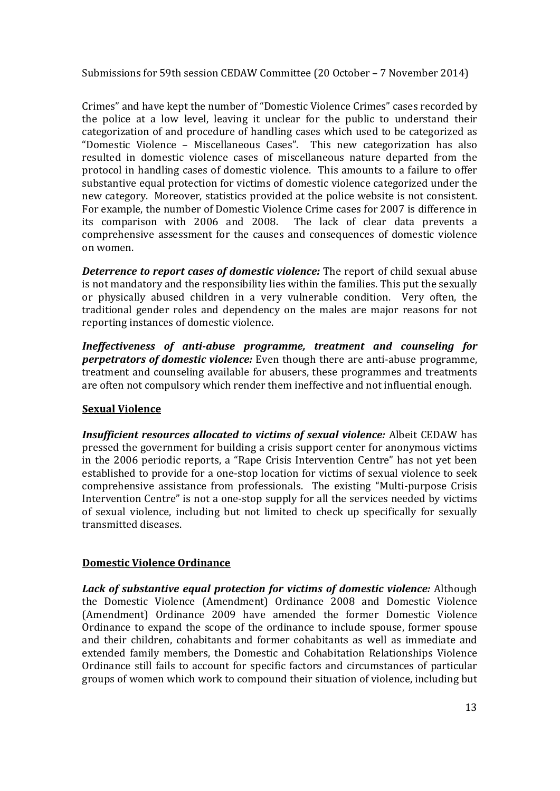Crimes" and have kept the number of "Domestic Violence Crimes" cases recorded by the police at a low level, leaving it unclear for the public to understand their categorization of and procedure of handling cases which used to be categorized as "Domestic Violence – Miscellaneous Cases". This new categorization has also resulted in domestic violence cases of miscellaneous nature departed from the protocol in handling cases of domestic violence. This amounts to a failure to offer substantive equal protection for victims of domestic violence categorized under the new category. Moreover, statistics provided at the police website is not consistent. For example, the number of Domestic Violence Crime cases for 2007 is difference in its comparison with  $2006$  and  $2008$ . The lack of clear data prevents a comprehensive assessment for the causes and consequences of domestic violence on women. 

*Deterrence to report cases of domestic violence:* The report of child sexual abuse is not mandatory and the responsibility lies within the families. This put the sexually or physically abused children in a very vulnerable condition. Very often, the traditional gender roles and dependency on the males are major reasons for not reporting instances of domestic violence.

*Ineffectiveness of anti‐abuse programme, treatment and counseling for perpetrators* of *domestic violence:* Even though there are anti-abuse programme, treatment and counseling available for abusers, these programmes and treatments are often not compulsory which render them ineffective and not influential enough.

## **Sexual Violence**

*Insufficient resources allocated to victims of sexual violence:* Albeit CEDAW has pressed the government for building a crisis support center for anonymous victims in the 2006 periodic reports, a "Rape Crisis Intervention Centre" has not yet been established to provide for a one-stop location for victims of sexual violence to seek comprehensive assistance from professionals. The existing "Multi-purpose Crisis Intervention Centre" is not a one-stop supply for all the services needed by victims of sexual violence, including but not limited to check up specifically for sexually transmitted diseases.

#### **Domestic Violence Ordinance**

*Lack of substantive equal protection for victims of domestic violence:* Although the Domestic Violence (Amendment) Ordinance 2008 and Domestic Violence (Amendment) Ordinance 2009 have amended the former Domestic Violence Ordinance to expand the scope of the ordinance to include spouse, former spouse and their children, cohabitants and former cohabitants as well as immediate and extended family members, the Domestic and Cohabitation Relationships Violence Ordinance still fails to account for specific factors and circumstances of particular groups of women which work to compound their situation of violence, including but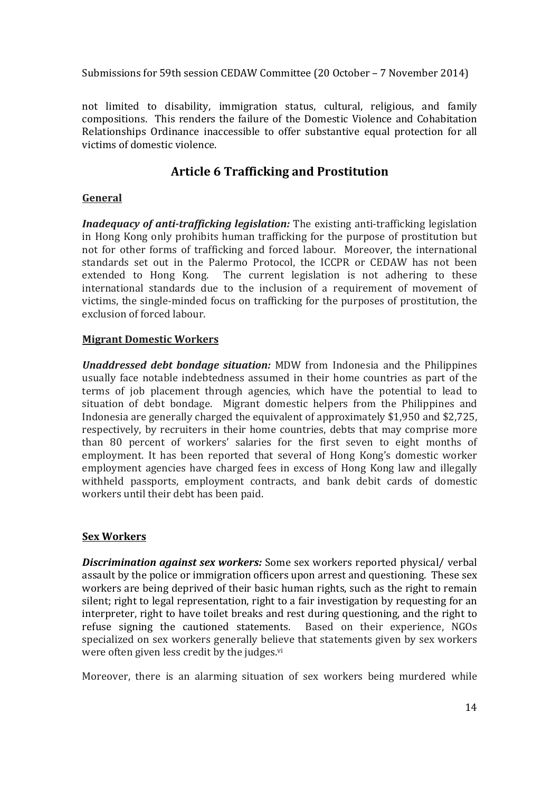not limited to disability, immigration status, cultural, religious, and family compositions. This renders the failure of the Domestic Violence and Cohabitation Relationships Ordinance inaccessible to offer substantive equal protection for all victims of domestic violence.

# **Article 6 Trafficking and Prostitution**

#### **General**

*Inadequacy of anti-trafficking legislation:* The existing anti-trafficking legislation in Hong Kong only prohibits human trafficking for the purpose of prostitution but not for other forms of trafficking and forced labour. Moreover, the international standards set out in the Palermo Protocol, the ICCPR or CEDAW has not been extended to Hong Kong. The current legislation is not adhering to these international standards due to the inclusion of a requirement of movement of victims, the single-minded focus on trafficking for the purposes of prostitution, the exclusion of forced labour.

#### **Migrant Domestic Workers**

*Unaddressed debt bondage situation:* MDW from Indonesia and the Philippines usually face notable indebtedness assumed in their home countries as part of the terms of job placement through agencies, which have the potential to lead to situation of debt bondage. Migrant domestic helpers from the Philippines and Indonesia are generally charged the equivalent of approximately \$1,950 and \$2,725, respectively, by recruiters in their home countries, debts that may comprise more than 80 percent of workers' salaries for the first seven to eight months of employment. It has been reported that several of Hong Kong's domestic worker employment agencies have charged fees in excess of Hong Kong law and illegally withheld passports, employment contracts, and bank debit cards of domestic workers until their debt has been paid.

## **Sex Workers**

**Discrimination** *against sex workers:* Some sex workers reported physical/ verbal assault by the police or immigration officers upon arrest and questioning. These sex workers are being deprived of their basic human rights, such as the right to remain silent; right to legal representation, right to a fair investigation by requesting for an interpreter, right to have toilet breaks and rest during questioning, and the right to refuse signing the cautioned statements. Based on their experience, NGOs specialized on sex workers generally believe that statements given by sex workers were often given less credit by the judges.<sup>vi</sup>

Moreover, there is an alarming situation of sex workers being murdered while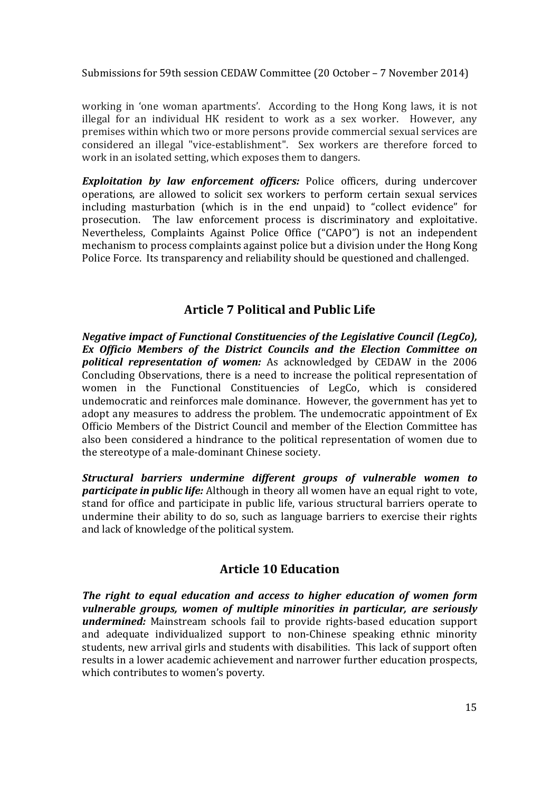working in 'one woman apartments'. According to the Hong Kong laws, it is not illegal for an individual HK resident to work as a sex worker. However, any premises within which two or more persons provide commercial sexual services are considered an illegal "vice-establishment". Sex workers are therefore forced to work in an isolated setting, which exposes them to dangers.

**Exploitation** by law enforcement officers: Police officers, during undercover operations, are allowed to solicit sex workers to perform certain sexual services including masturbation (which is in the end unpaid) to "collect evidence" for prosecution. The law enforcement process is discriminatory and exploitative. Nevertheless, Complaints Against Police Office ("CAPO") is not an independent mechanism to process complaints against police but a division under the Hong Kong Police Force. Its transparency and reliability should be questioned and challenged.

# **Article 7 Political and Public Life**

*Negative impact of Functional Constituencies of the Legislative Council (LegCo), Ex Officio Members of the District Councils and the Election Committee on* **political representation of women:** As acknowledged by CEDAW in the 2006 Concluding Observations, there is a need to increase the political representation of women in the Functional Constituencies of LegCo, which is considered undemocratic and reinforces male dominance. However, the government has vet to adopt any measures to address the problem. The undemocratic appointment of Ex Officio Members of the District Council and member of the Election Committee has also been considered a hindrance to the political representation of women due to the stereotype of a male-dominant Chinese society.

*Structural barriers undermine different groups of vulnerable women to participate in public life:* Although in theory all women have an equal right to vote, stand for office and participate in public life, various structural barriers operate to undermine their ability to do so, such as language barriers to exercise their rights and lack of knowledge of the political system.

## **Article 10 Education**

*The right to equal education and access to higher education of women form vulnerable groups, women of multiple minorities in particular, are seriously* **undermined:** Mainstream schools fail to provide rights-based education support and adequate individualized support to non-Chinese speaking ethnic minority students, new arrival girls and students with disabilities. This lack of support often results in a lower academic achievement and narrower further education prospects, which contributes to women's poverty.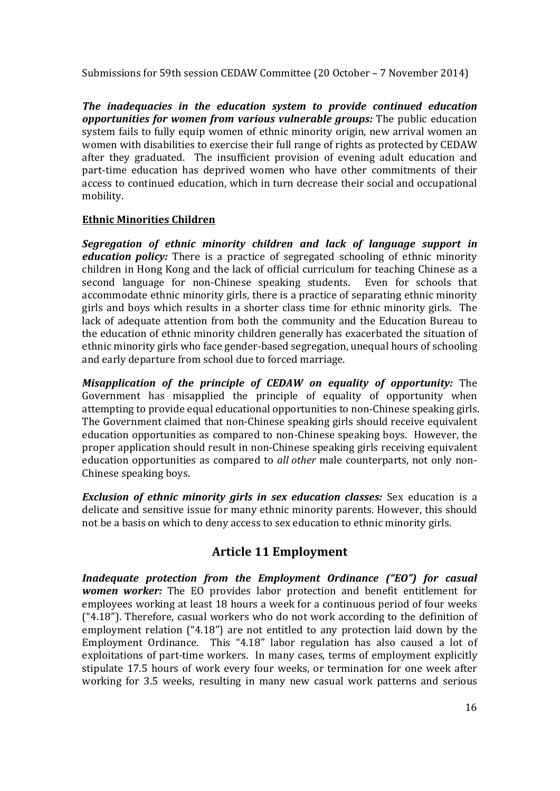*The inadequacies in the education system to provide continued education opportunities for women from various vulnerable groups:* **The public education** system fails to fully equip women of ethnic minority origin, new arrival women an women with disabilities to exercise their full range of rights as protected by CEDAW after they graduated. The insufficient provision of evening adult education and part-time education has deprived women who have other commitments of their access to continued education, which in turn decrease their social and occupational mobility. 

#### **Ethnic Minorities Children**

*Segregation of ethnic minority children and lack of language support in education policy:* There is a practice of segregated schooling of ethnic minority children in Hong Kong and the lack of official curriculum for teaching Chinese as a second language for non-Chinese speaking students. Even for schools that accommodate ethnic minority girls, there is a practice of separating ethnic minority girls and boys which results in a shorter class time for ethnic minority girls. The lack of adequate attention from both the community and the Education Bureau to the education of ethnic minority children generally has exacerbated the situation of ethnic minority girls who face gender-based segregation, unequal hours of schooling and early departure from school due to forced marriage.

*Misapplication of the principle of CEDAW on equality of opportunity:* The Government has misapplied the principle of equality of opportunity when attempting to provide equal educational opportunities to non-Chinese speaking girls. The Government claimed that non-Chinese speaking girls should receive equivalent education opportunities as compared to non-Chinese speaking boys. However, the proper application should result in non-Chinese speaking girls receiving equivalent education opportunities as compared to *all other* male counterparts, not only non-Chinese speaking boys.

*Exclusion of ethnic minority girls in sex education classes:* Sex education is a delicate and sensitive issue for many ethnic minority parents. However, this should not be a basis on which to deny access to sex education to ethnic minority girls.

# **Article 11 Employment**

*Inadequate protection from the Employment Ordinance ("EO") for casual women* worker: The EO provides labor protection and benefit entitlement for employees working at least 18 hours a week for a continuous period of four weeks  $('4.18")$ . Therefore, casual workers who do not work according to the definition of employment relation  $("4.18")$  are not entitled to any protection laid down by the Employment Ordinance. This "4.18" labor regulation has also caused a lot of exploitations of part-time workers. In many cases, terms of employment explicitly stipulate 17.5 hours of work every four weeks, or termination for one week after working for 3.5 weeks, resulting in many new casual work patterns and serious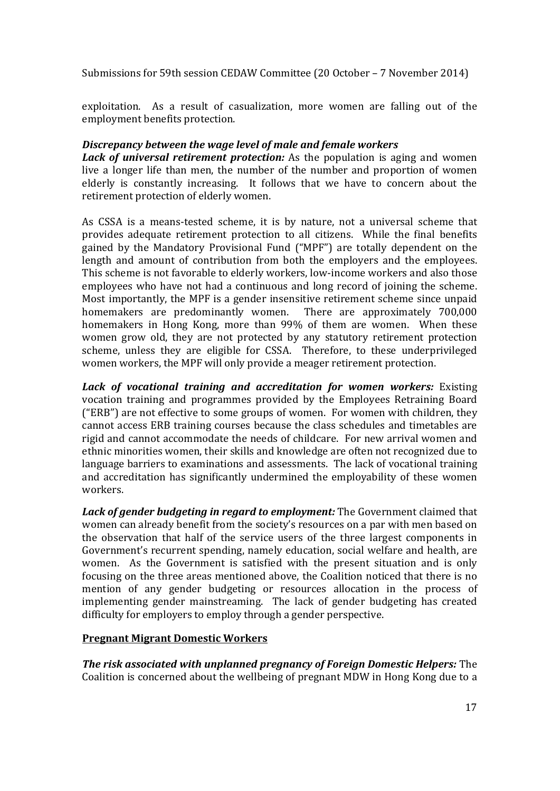exploitation. As a result of casualization, more women are falling out of the employment benefits protection.

## *Discrepancy between the wage level of male and female workers*

*Lack of universal retirement protection:* As the population is aging and women live a longer life than men, the number of the number and proportion of women elderly is constantly increasing. It follows that we have to concern about the retirement protection of elderly women.

As CSSA is a means-tested scheme, it is by nature, not a universal scheme that provides adequate retirement protection to all citizens. While the final benefits gained by the Mandatory Provisional Fund ("MPF") are totally dependent on the length and amount of contribution from both the employers and the employees. This scheme is not favorable to elderly workers, low-income workers and also those employees who have not had a continuous and long record of joining the scheme. Most importantly, the MPF is a gender insensitive retirement scheme since unpaid homemakers are predominantly women. There are approximately 700,000 homemakers in Hong Kong, more than 99% of them are women. When these women grow old, they are not protected by any statutory retirement protection scheme, unless they are eligible for CSSA. Therefore, to these underprivileged women workers, the MPF will only provide a meager retirement protection.

*Lack of vocational training and accreditation for women workers:* Existing vocation training and programmes provided by the Employees Retraining Board ("ERB") are not effective to some groups of women. For women with children, they cannot access ERB training courses because the class schedules and timetables are rigid and cannot accommodate the needs of childcare. For new arrival women and ethnic minorities women, their skills and knowledge are often not recognized due to language barriers to examinations and assessments. The lack of vocational training and accreditation has significantly undermined the employability of these women workers. 

*Lack of gender budgeting in regard to employment:* **The Government claimed that** women can already benefit from the society's resources on a par with men based on the observation that half of the service users of the three largest components in Government's recurrent spending, namely education, social welfare and health, are women. As the Government is satisfied with the present situation and is only focusing on the three areas mentioned above, the Coalition noticed that there is no mention of any gender budgeting or resources allocation in the process of implementing gender mainstreaming. The lack of gender budgeting has created difficulty for employers to employ through a gender perspective.

#### **Pregnant Migrant Domestic Workers**

*The risk associated with unplanned pregnancy of Foreign Domestic Helpers:* The Coalition is concerned about the wellbeing of pregnant MDW in Hong Kong due to a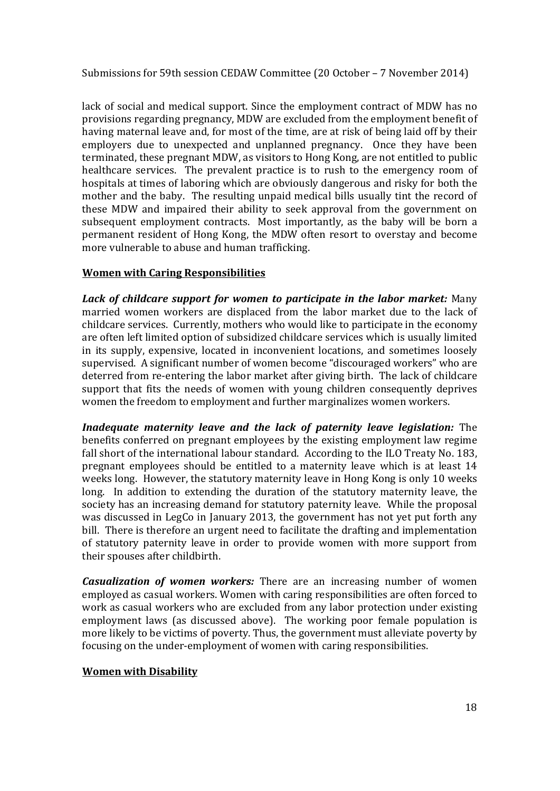lack of social and medical support. Since the employment contract of MDW has no provisions regarding pregnancy, MDW are excluded from the employment benefit of having maternal leave and, for most of the time, are at risk of being laid off by their employers due to unexpected and unplanned pregnancy. Once they have been terminated, these pregnant MDW, as visitors to Hong Kong, are not entitled to public healthcare services. The prevalent practice is to rush to the emergency room of hospitals at times of laboring which are obviously dangerous and risky for both the mother and the baby. The resulting unpaid medical bills usually tint the record of these MDW and impaired their ability to seek approval from the government on subsequent employment contracts. Most importantly, as the baby will be born a permanent resident of Hong Kong, the MDW often resort to overstay and become more vulnerable to abuse and human trafficking.

#### **Women with Caring Responsibilities**

*Lack of childcare support for women to participate in the labor market:* Many married women workers are displaced from the labor market due to the lack of childcare services. Currently, mothers who would like to participate in the economy are often left limited option of subsidized childcare services which is usually limited in its supply, expensive, located in inconvenient locations, and sometimes loosely supervised. A significant number of women become "discouraged workers" who are deterred from re-entering the labor market after giving birth. The lack of childcare support that fits the needs of women with young children consequently deprives women the freedom to employment and further marginalizes women workers.

*Inadequate maternity leave and the lack of paternity leave legislation:* The benefits conferred on pregnant employees by the existing employment law regime fall short of the international labour standard. According to the ILO Treaty No. 183, pregnant employees should be entitled to a maternity leave which is at least 14 weeks long. However, the statutory maternity leave in Hong Kong is only 10 weeks long. In addition to extending the duration of the statutory maternity leave, the society has an increasing demand for statutory paternity leave. While the proposal was discussed in LegCo in January 2013, the government has not yet put forth any bill. There is therefore an urgent need to facilitate the drafting and implementation of statutory paternity leave in order to provide women with more support from their spouses after childbirth.

*Casualization of women workers:* There are an increasing number of women employed as casual workers. Women with caring responsibilities are often forced to work as casual workers who are excluded from any labor protection under existing employment laws (as discussed above). The working poor female population is more likely to be victims of poverty. Thus, the government must alleviate poverty by focusing on the under-employment of women with caring responsibilities.

#### **Women with Disability**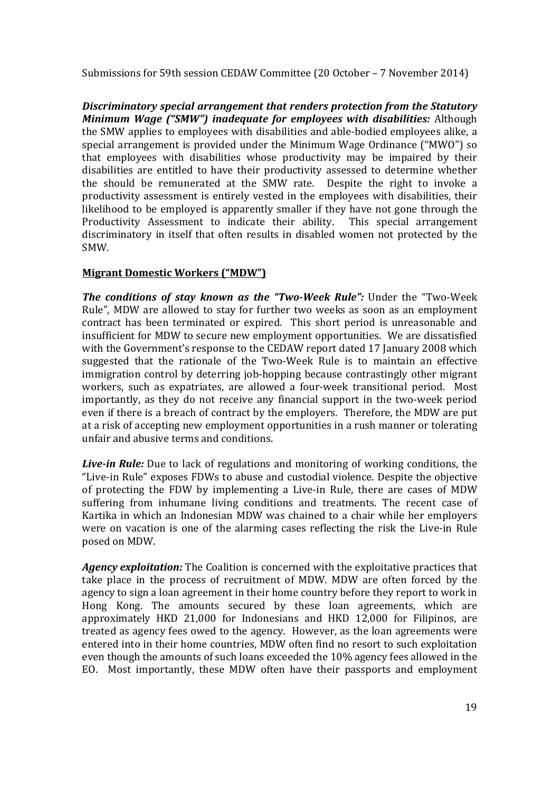*Discriminatory special arrangement that renders protection from the Statutory Minimum Wage ("SMW") inadequate for employees with disabilities:* Although the SMW applies to employees with disabilities and able-bodied employees alike, a special arrangement is provided under the Minimum Wage Ordinance ("MWO") so that employees with disabilities whose productivity may be impaired by their disabilities are entitled to have their productivity assessed to determine whether the should be remunerated at the SMW rate. Despite the right to invoke a productivity assessment is entirely vested in the employees with disabilities, their likelihood to be employed is apparently smaller if they have not gone through the Productivity Assessment to indicate their ability. This special arrangement discriminatory in itself that often results in disabled women not protected by the SMW. 

#### **Migrant Domestic Workers ("MDW")**

*The conditions of stay known as the "Two‐Week Rule":* Under the "Two‐Week Rule", MDW are allowed to stay for further two weeks as soon as an employment contract has been terminated or expired. This short period is unreasonable and insufficient for MDW to secure new employment opportunities. We are dissatisfied with the Government's response to the CEDAW report dated 17 January 2008 which suggested that the rationale of the Two-Week Rule is to maintain an effective immigration control by deterring job-hopping because contrastingly other migrant workers, such as expatriates, are allowed a four-week transitional period. Most importantly, as they do not receive any financial support in the two-week period even if there is a breach of contract by the employers. Therefore, the MDW are put at a risk of accepting new employment opportunities in a rush manner or tolerating unfair and abusive terms and conditions.

*Live-in Rule:* Due to lack of regulations and monitoring of working conditions, the "Live-in Rule" exposes FDWs to abuse and custodial violence. Despite the objective of protecting the FDW by implementing a Live-in Rule, there are cases of MDW suffering from inhumane living conditions and treatments. The recent case of Kartika in which an Indonesian MDW was chained to a chair while her employers were on vacation is one of the alarming cases reflecting the risk the Live-in Rule posed on MDW.

*Agency exploitation:* The Coalition is concerned with the exploitative practices that take place in the process of recruitment of MDW. MDW are often forced by the agency to sign a loan agreement in their home country before they report to work in Hong Kong. The amounts secured by these loan agreements, which are approximately HKD 21,000 for Indonesians and HKD 12,000 for Filipinos, are treated as agency fees owed to the agency. However, as the loan agreements were entered into in their home countries, MDW often find no resort to such exploitation even though the amounts of such loans exceeded the  $10\%$  agency fees allowed in the EO. Most importantly, these MDW often have their passports and employment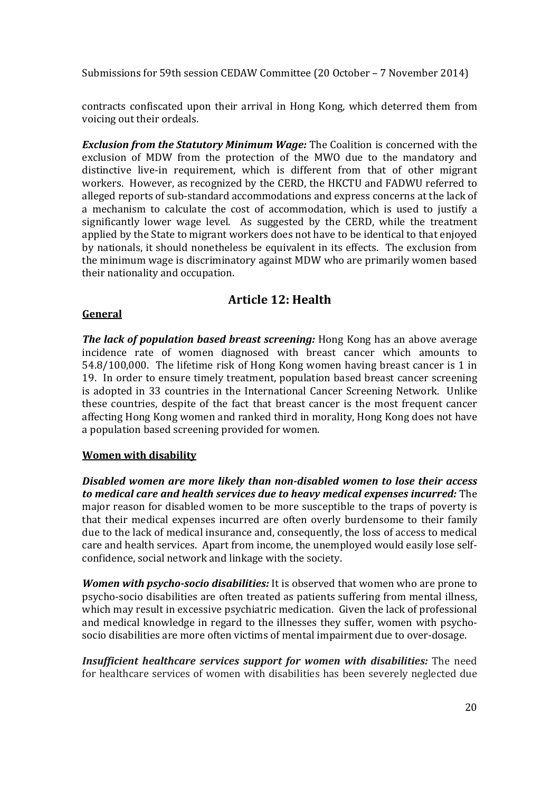contracts confiscated upon their arrival in Hong Kong, which deterred them from voicing out their ordeals.

*Exclusion from the Statutory Minimum Wage:* The Coalition is concerned with the exclusion of MDW from the protection of the MWO due to the mandatory and distinctive live-in requirement, which is different from that of other migrant workers. However, as recognized by the CERD, the HKCTU and FADWU referred to alleged reports of sub-standard accommodations and express concerns at the lack of a mechanism to calculate the cost of accommodation, which is used to justify a significantly lower wage level. As suggested by the CERD, while the treatment applied by the State to migrant workers does not have to be identical to that enjoyed by nationals, it should nonetheless be equivalent in its effects. The exclusion from the minimum wage is discriminatory against MDW who are primarily women based their nationality and occupation.

# **Article 12: Health**

#### **General**

*The lack of population based breast screening:* Hong Kong has an above average incidence rate of women diagnosed with breast cancer which amounts to 54.8/100,000. The lifetime risk of Hong Kong women having breast cancer is 1 in 19. In order to ensure timely treatment, population based breast cancer screening is adopted in 33 countries in the International Cancer Screening Network. Unlike these countries, despite of the fact that breast cancer is the most frequent cancer affecting Hong Kong women and ranked third in morality, Hong Kong does not have a population based screening provided for women.

#### **Women with disability**

*Disabled women are more likely than non‐disabled women to lose their access to medical care and health services due to heavy medical expenses incurred:* The major reason for disabled women to be more susceptible to the traps of poverty is that their medical expenses incurred are often overly burdensome to their family due to the lack of medical insurance and, consequently, the loss of access to medical care and health services. Apart from income, the unemployed would easily lose selfconfidence, social network and linkage with the society.

*Women* with *psycho-socio disabilities:* It is observed that women who are prone to psycho-socio disabilities are often treated as patients suffering from mental illness. which may result in excessive psychiatric medication. Given the lack of professional and medical knowledge in regard to the illnesses they suffer, women with psychosocio disabilities are more often victims of mental impairment due to over-dosage.

*Insufficient healthcare services support for women with disabilities:* **The need** for healthcare services of women with disabilities has been severely neglected due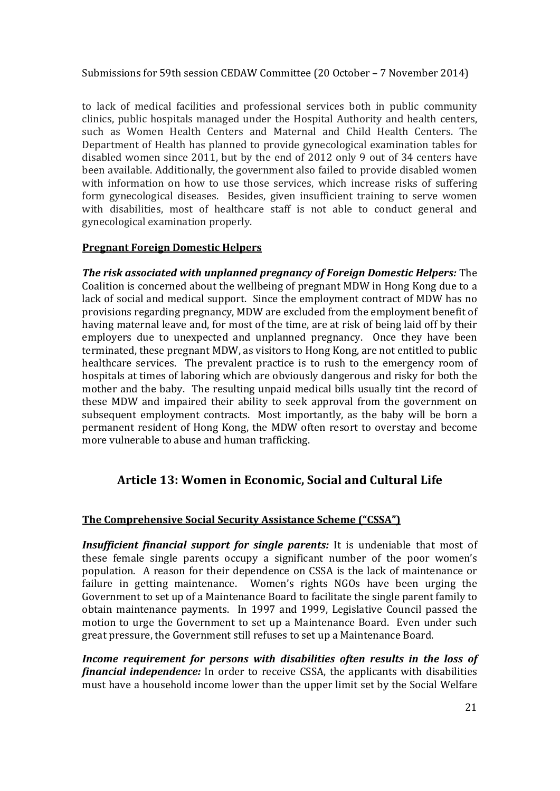to lack of medical facilities and professional services both in public community clinics, public hospitals managed under the Hospital Authority and health centers. such as Women Health Centers and Maternal and Child Health Centers. The Department of Health has planned to provide gynecological examination tables for disabled women since  $2011$ , but by the end of  $2012$  only 9 out of 34 centers have been available. Additionally, the government also failed to provide disabled women with information on how to use those services, which increase risks of suffering form gynecological diseases. Besides, given insufficient training to serve women with disabilities, most of healthcare staff is not able to conduct general and gynecological examination properly.

#### **Pregnant Foreign Domestic Helpers**

*The risk associated with unplanned pregnancy of Foreign Domestic Helpers:* The Coalition is concerned about the wellbeing of pregnant MDW in Hong Kong due to a lack of social and medical support. Since the employment contract of MDW has no provisions regarding pregnancy, MDW are excluded from the employment benefit of having maternal leave and, for most of the time, are at risk of being laid off by their employers due to unexpected and unplanned pregnancy. Once they have been terminated, these pregnant MDW, as visitors to Hong Kong, are not entitled to public healthcare services. The prevalent practice is to rush to the emergency room of hospitals at times of laboring which are obviously dangerous and risky for both the mother and the baby. The resulting unpaid medical bills usually tint the record of these MDW and impaired their ability to seek approval from the government on subsequent employment contracts. Most importantly, as the baby will be born a permanent resident of Hong Kong, the MDW often resort to overstay and become more vulnerable to abuse and human trafficking.

# **Article 13: Women in Economic, Social and Cultural Life**

#### **The Comprehensive Social Security Assistance Scheme ("CSSA")**

**Insufficient financial support for single parents:** It is undeniable that most of these female single parents occupy a significant number of the poor women's population. A reason for their dependence on CSSA is the lack of maintenance or failure in getting maintenance. Women's rights NGOs have been urging the Government to set up of a Maintenance Board to facilitate the single parent family to obtain maintenance payments. In 1997 and 1999, Legislative Council passed the motion to urge the Government to set up a Maintenance Board. Even under such great pressure, the Government still refuses to set up a Maintenance Board.

*Income requirement for persons with disabilities often results in the loss of financial independence:* In order to receive CSSA, the applicants with disabilities must have a household income lower than the upper limit set by the Social Welfare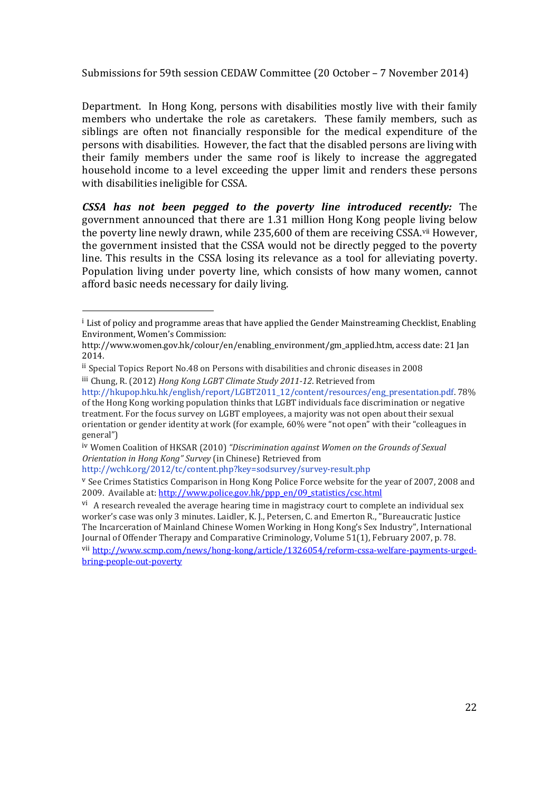Department. In Hong Kong, persons with disabilities mostly live with their family members who undertake the role as caretakers. These family members, such as siblings are often not financially responsible for the medical expenditure of the persons with disabilities. However, the fact that the disabled persons are living with their family members under the same roof is likely to increase the aggregated household income to a level exceeding the upper limit and renders these persons with disabilities ineligible for CSSA.

*CSSA has not been pegged to the poverty line introduced recently:* The government announced that there are 1.31 million Hong Kong people living below the poverty line newly drawn, while 235,600 of them are receiving CSSA.<sup>vii</sup> However, the government insisted that the CSSA would not be directly pegged to the poverty line. This results in the CSSA losing its relevance as a tool for alleviating poverty. Population living under poverty line, which consists of how many women, cannot afford basic needs necessary for daily living.

 

 $^{\text{i}}$  List of policy and programme areas that have applied the Gender Mainstreaming Checklist, Enabling Environment, Women's Commission: 

http://www.women.gov.hk/colour/en/enabling\_environment/gm\_applied.htm, access date: 21 Jan 2014.

ii Special Topics Report No.48 on Persons with disabilities and chronic diseases in 2008 iii Chung, R. (2012) *Hong Kong LGBT Climate Study 2011‐12*. Retrieved from 

http://hkupop.hku.hk/english/report/LGBT2011\_12/content/resources/eng\_presentation.pdf. 78% of the Hong Kong working population thinks that LGBT individuals face discrimination or negative treatment. For the focus survey on LGBT employees, a majority was not open about their sexual orientation or gender identity at work (for example, 60% were "not open" with their "colleagues in general")

iv Women Coalition of HKSAR (2010) *"Discrimination against Women on the Grounds of Sexual Orientation in Hong Kong" Survey* (in Chinese) Retrieved from 

http://wchk.org/2012/tc/content.php?key=sodsurvey/survey‐result.php

 $\overline{v}$  See Crimes Statistics Comparison in Hong Kong Police Force website for the year of 2007, 2008 and 2009. Available at: http://www.police.gov.hk/ppp\_en/09\_statistics/csc.html

 $\overline{v}$ . A research revealed the average hearing time in magistracy court to complete an individual sex worker's case was only 3 minutes. Laidler, K. J., Petersen, C. and Emerton R., "Bureaucratic Justice The Incarceration of Mainland Chinese Women Working in Hong Kong's Sex Industry", International Journal of Offender Therapy and Comparative Criminology, Volume 51(1), February 2007, p. 78.

vii http://www.scmp.com/news/hong-kong/article/1326054/reform-cssa-welfare-payments-urgedbring‐people‐out‐poverty